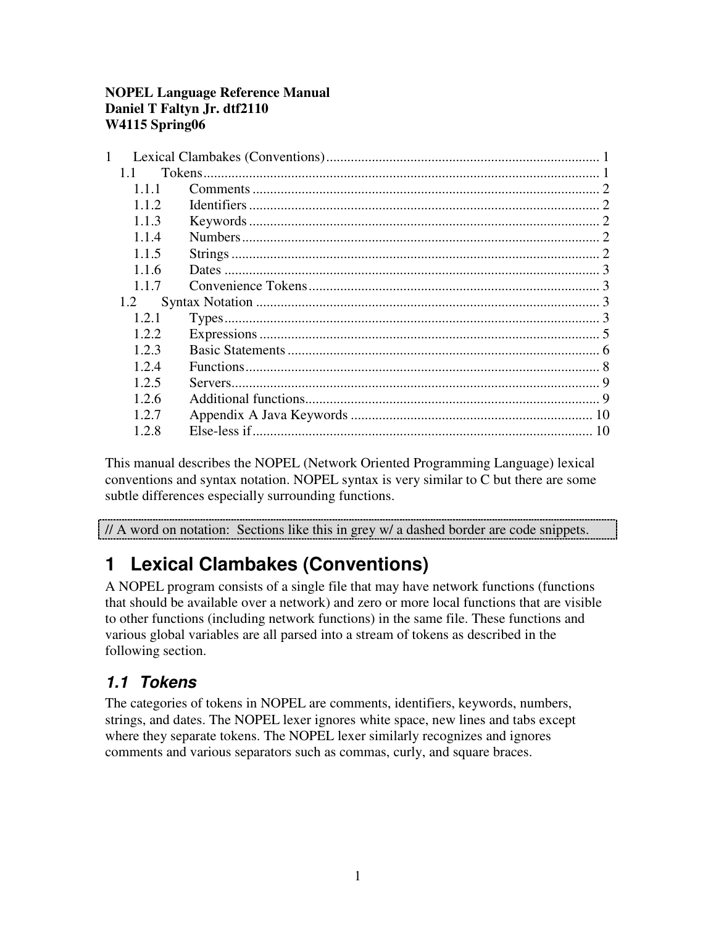#### **NOPEL Language Reference Manual Daniel T Faltyn Jr. dtf2110 W4115 Spring06**

This manual describes the NOPEL (Network Oriented Programming Language) lexical conventions and syntax notation. NOPEL syntax is very similar to C but there are some subtle differences especially surrounding functions.

// A word on notation: Sections like this in grey w/ a dashed border are code snippets.

# **1 Lexical Clambakes (Conventions)**

A NOPEL program consists of a single file that may have network functions (functions that should be available over a network) and zero or more local functions that are visible to other functions (including network functions) in the same file. These functions and various global variables are all parsed into a stream of tokens as described in the following section.

## *1.1 Tokens*

The categories of tokens in NOPEL are comments, identifiers, keywords, numbers, strings, and dates. The NOPEL lexer ignores white space, new lines and tabs except where they separate tokens. The NOPEL lexer similarly recognizes and ignores comments and various separators such as commas, curly, and square braces.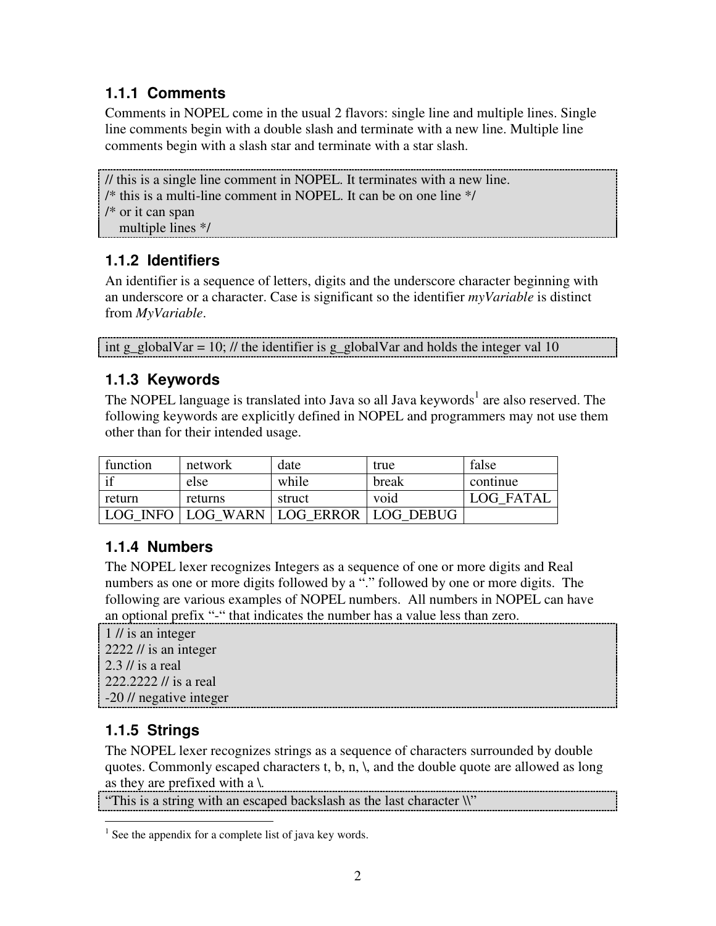### **1.1.1 Comments**

Comments in NOPEL come in the usual 2 flavors: single line and multiple lines. Single line comments begin with a double slash and terminate with a new line. Multiple line comments begin with a slash star and terminate with a star slash.

```
// this is a single line comment in NOPEL. It terminates with a new line.
/* this is a multi-line comment in NOPEL. It can be on one line */
/* or it can span
  multiple lines */
```
### **1.1.2 Identifiers**

An identifier is a sequence of letters, digits and the underscore character beginning with an underscore or a character. Case is significant so the identifier *myVariable* is distinct from *MyVariable*.

int g\_globalVar = 10; // the identifier is g\_globalVar and holds the integer val 10

### **1.1.3 Keywords**

The NOPEL language is translated into Java so all Java keywords<sup>1</sup> are also reserved. The following keywords are explicitly defined in NOPEL and programmers may not use them other than for their intended usage.

| function   | network | date                                  | true  | false            |
|------------|---------|---------------------------------------|-------|------------------|
| $\cdot$ if | else    | while                                 | break | continue         |
| return     | returns | struct                                | void  | <b>LOG FATAL</b> |
|            |         | LOG INFO LOG WARN LOG ERROR LOG DEBUG |       |                  |

### **1.1.4 Numbers**

The NOPEL lexer recognizes Integers as a sequence of one or more digits and Real numbers as one or more digits followed by a "." followed by one or more digits. The following are various examples of NOPEL numbers. All numbers in NOPEL can have an optional prefix "-" that indicates the number has a value less than zero.

1 // is an integer  $2222$  // is an integer 2.3 // is a real 222.2222 // is a real -20 // negative integer

### **1.1.5 Strings**

The NOPEL lexer recognizes strings as a sequence of characters surrounded by double quotes. Commonly escaped characters t, b, n,  $\lambda$ , and the double quote are allowed as long as they are prefixed with a  $\lambda$ .

"This is a string with an escaped backslash as the last character \\"

 $<sup>1</sup>$  See the appendix for a complete list of java key words.</sup>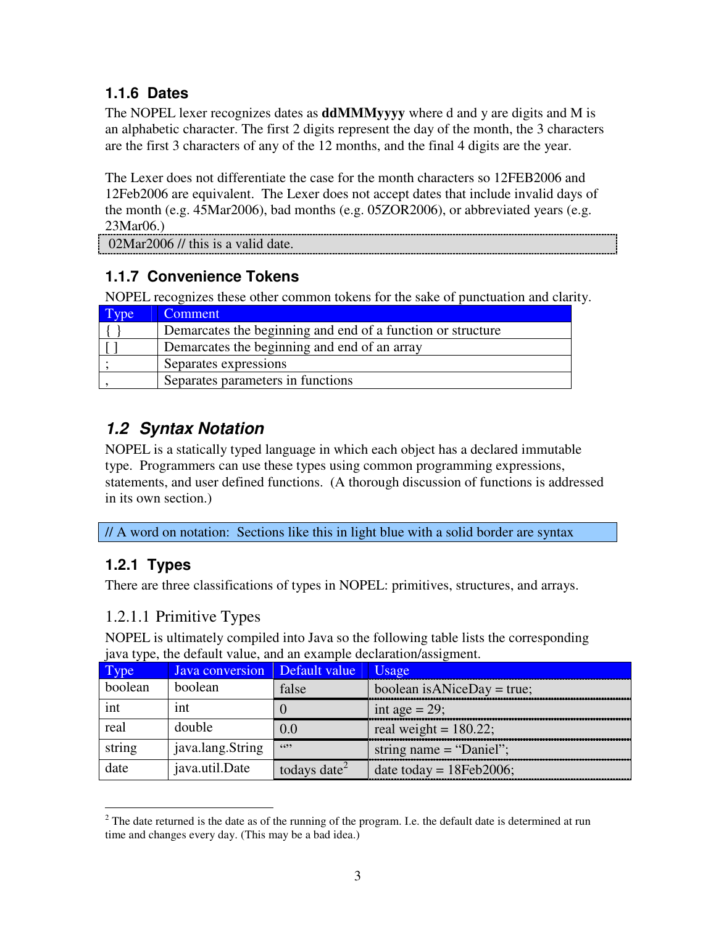### **1.1.6 Dates**

The NOPEL lexer recognizes dates as **ddMMMyyyy** where d and y are digits and M is an alphabetic character. The first 2 digits represent the day of the month, the 3 characters are the first 3 characters of any of the 12 months, and the final 4 digits are the year.

The Lexer does not differentiate the case for the month characters so 12FEB2006 and 12Feb2006 are equivalent. The Lexer does not accept dates that include invalid days of the month (e.g. 45Mar2006), bad months (e.g. 05ZOR2006), or abbreviated years (e.g. 23Mar06.)

02Mar2006 // this is a valid date.

### **1.1.7 Convenience Tokens**

NOPEL recognizes these other common tokens for the sake of punctuation and clarity.

| <b>Comment</b>                                              |
|-------------------------------------------------------------|
| Demarcates the beginning and end of a function or structure |
| Demarcates the beginning and end of an array                |
| Separates expressions                                       |
| Separates parameters in functions                           |

## *1.2 Syntax Notation*

NOPEL is a statically typed language in which each object has a declared immutable type. Programmers can use these types using common programming expressions, statements, and user defined functions. (A thorough discussion of functions is addressed in its own section.)

// A word on notation: Sections like this in light blue with a solid border are syntax

### **1.2.1 Types**

There are three classifications of types in NOPEL: primitives, structures, and arrays.

### 1.2.1.1 Primitive Types

NOPEL is ultimately compiled into Java so the following table lists the corresponding java type, the default value, and an example declaration/assigment.

| Type    | Java conversion  | Default value            | Usage                       |
|---------|------------------|--------------------------|-----------------------------|
| boolean | boolean          | false                    | boolean is ANiceDay = true; |
| int     | 1nt              |                          | int age = $29$ ;            |
| real    | double           | 0.0                      | real weight = $180.22$ ;    |
| string  | java.lang.String | 6699                     | string name $=$ "Daniel";   |
| date    | java.util.Date   | todays date <sup>2</sup> | date today = $18Feb2006$ ;  |

 $2$  The date returned is the date as of the running of the program. I.e. the default date is determined at run time and changes every day. (This may be a bad idea.)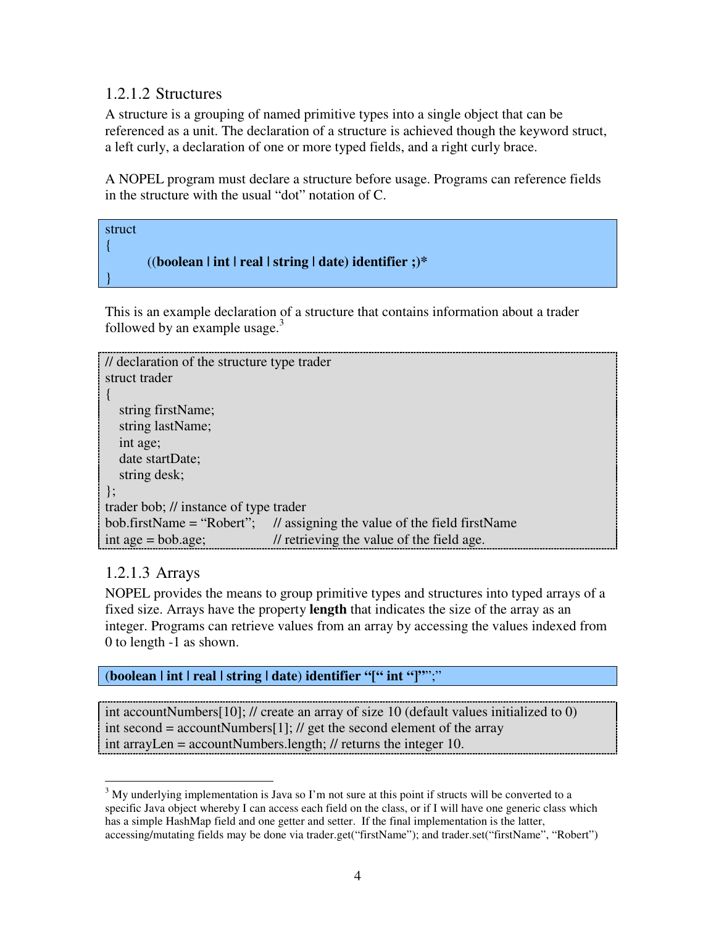#### 1.2.1.2 Structures

A structure is a grouping of named primitive types into a single object that can be referenced as a unit. The declaration of a structure is achieved though the keyword struct, a left curly, a declaration of one or more typed fields, and a right curly brace.

A NOPEL program must declare a structure before usage. Programs can reference fields in the structure with the usual "dot" notation of C.



This is an example declaration of a structure that contains information about a trader followed by an example usage.<sup>3</sup>

```
// declaration of the structure type trader
struct trader
{
  string firstName;
  string lastName;
  int age;
  date startDate;
  string desk;
};
trader bob; // instance of type trader
bob.firstName = "Robert"; // assigning the value of the field firstName
int age = bob.age; \frac{1}{\sqrt{2}} retrieving the value of the field age.
```
#### 1.2.1.3 Arrays

NOPEL provides the means to group primitive types and structures into typed arrays of a fixed size. Arrays have the property **length** that indicates the size of the array as an integer. Programs can retrieve values from an array by accessing the values indexed from 0 to length -1 as shown.

#### (**boolean | int | real | string | date**) **identifier "[" int "]"**";"

int accountNumbers[10]; // create an array of size 10 (default values initialized to 0) int second = accountNumbers[1]; // get the second element of the array int arrayLen = accountNumbers.length; // returns the integer 10.

 $3$  My underlying implementation is Java so I'm not sure at this point if structs will be converted to a specific Java object whereby I can access each field on the class, or if I will have one generic class which has a simple HashMap field and one getter and setter. If the final implementation is the latter, accessing/mutating fields may be done via trader.get("firstName"); and trader.set("firstName", "Robert")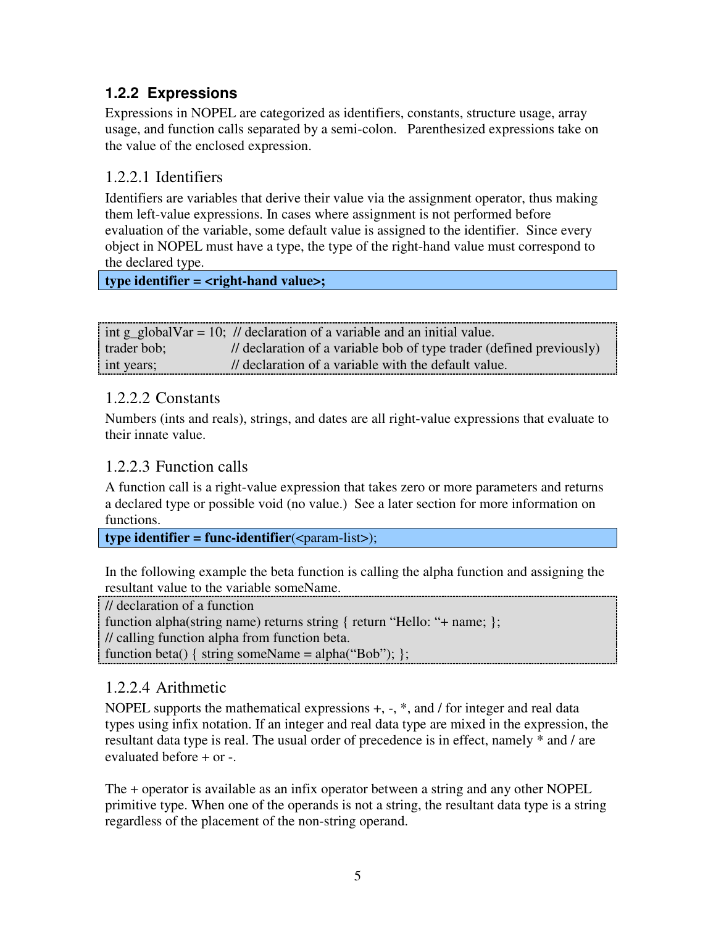### **1.2.2 Expressions**

Expressions in NOPEL are categorized as identifiers, constants, structure usage, array usage, and function calls separated by a semi-colon. Parenthesized expressions take on the value of the enclosed expression.

#### 1.2.2.1 Identifiers

Identifiers are variables that derive their value via the assignment operator, thus making them left-value expressions. In cases where assignment is not performed before evaluation of the variable, some default value is assigned to the identifier. Since every object in NOPEL must have a type, the type of the right-hand value must correspond to the declared type.

**type identifier = <right-hand value>;**

|             | int g_globalVar = 10; // declaration of a variable and an initial value. |
|-------------|--------------------------------------------------------------------------|
| trader bob; | // declaration of a variable bob of type trader (defined previously)     |
| int years;  | // declaration of a variable with the default value.                     |

#### 1.2.2.2 Constants

Numbers (ints and reals), strings, and dates are all right-value expressions that evaluate to their innate value.

#### 1.2.2.3 Function calls

A function call is a right-value expression that takes zero or more parameters and returns a declared type or possible void (no value.) See a later section for more information on functions.

 $\tt type identifier = func- identifier(*param-list*)$ ;

In the following example the beta function is calling the alpha function and assigning the resultant value to the variable someName.

// declaration of a function

function alpha(string name) returns string { return "Hello: "+ name; };

// calling function alpha from function beta.

function beta() { string someName = alpha("Bob"); };

#### 1.2.2.4 Arithmetic

NOPEL supports the mathematical expressions +, -, \*, and / for integer and real data types using infix notation. If an integer and real data type are mixed in the expression, the resultant data type is real. The usual order of precedence is in effect, namely \* and / are evaluated before + or -.

The + operator is available as an infix operator between a string and any other NOPEL primitive type. When one of the operands is not a string, the resultant data type is a string regardless of the placement of the non-string operand.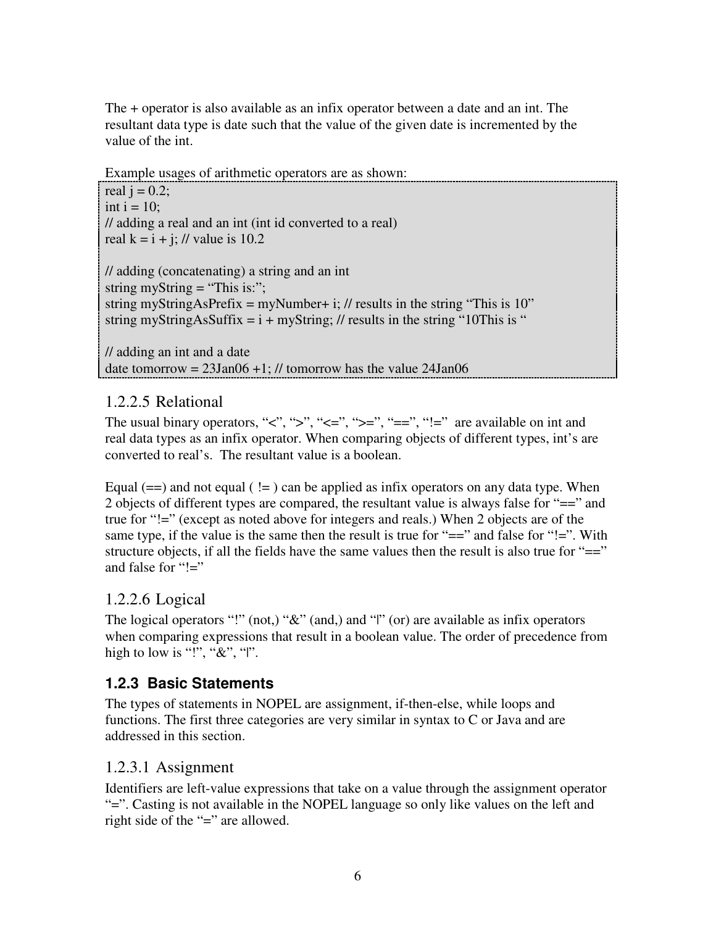The + operator is also available as an infix operator between a date and an int. The resultant data type is date such that the value of the given date is incremented by the value of the int.

Example usages of arithmetic operators are as shown:

real  $i = 0.2$ ; int  $i = 10$ ; // adding a real and an int (int id converted to a real) real  $k = i + j$ ; // value is 10.2

// adding (concatenating) a string and an int string myString = "This is:"; string myStringAsPrefix = myNumber+ i; // results in the string "This is  $10$ " string myStringAsSuffix =  $i + myString$ ; // results in the string "10This is "

// adding an int and a date date tomorrow =  $23$ Jan06 +1; // tomorrow has the value  $24$ Jan06

#### 1.2.2.5 Relational

The usual binary operators, " $\lt$ ", " $\gt$ ", " $\lt =$ ", " $\gt =$ ", " $\lt =$ ", " $\lt =$ " are available on int and real data types as an infix operator. When comparing objects of different types, int's are converted to real's. The resultant value is a boolean.

Equal  $(==)$  and not equal  $( != )$  can be applied as infix operators on any data type. When 2 objects of different types are compared, the resultant value is always false for "==" and true for "!=" (except as noted above for integers and reals.) When 2 objects are of the same type, if the value is the same then the result is true for "==" and false for "!=". With structure objects, if all the fields have the same values then the result is also true for  $=$ " and false for " $!=$ "

#### 1.2.2.6 Logical

The logical operators "!" (not.) "&" (and.) and "|" (or) are available as infix operators when comparing expressions that result in a boolean value. The order of precedence from high to low is "!", " $\&$ ", "|".

### **1.2.3 Basic Statements**

The types of statements in NOPEL are assignment, if-then-else, while loops and functions. The first three categories are very similar in syntax to C or Java and are addressed in this section.

#### 1.2.3.1 Assignment

Identifiers are left-value expressions that take on a value through the assignment operator "=". Casting is not available in the NOPEL language so only like values on the left and right side of the "=" are allowed.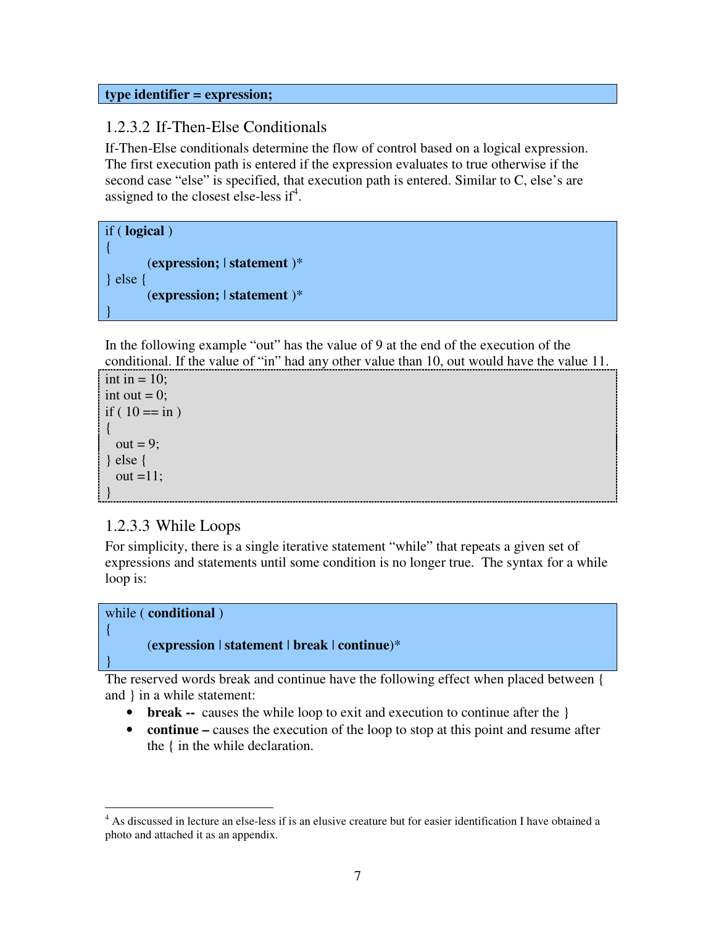#### **type identifier = expression;**

#### 1.2.3.2 If-Then-Else Conditionals

If-Then-Else conditionals determine the flow of control based on a logical expression. The first execution path is entered if the expression evaluates to true otherwise if the second case "else" is specified, that execution path is entered. Similar to C, else's are assigned to the closest else-less if<sup>4</sup>.

```
if ( logical )
{
       (expression; | statement )*
} else {
       (expression; | statement )*
}
```
In the following example "out" has the value of 9 at the end of the execution of the conditional. If the value of "in" had any other value than 10, out would have the value 11.

```
int in = 10;
int out = 0;
if ( 10 == in )
{
 out = 9;
} else {
 out =11;
}
```
#### 1.2.3.3 While Loops

For simplicity, there is a single iterative statement "while" that repeats a given set of expressions and statements until some condition is no longer true. The syntax for a while loop is:



{

}

#### (**expression** | **statement** | **break** | **continue**)\*

The reserved words break and continue have the following effect when placed between { and } in a while statement:

- **break** -- causes the while loop to exit and execution to continue after the  $\}$
- **continue** causes the execution of the loop to stop at this point and resume after the { in the while declaration.

<sup>&</sup>lt;sup>4</sup> As discussed in lecture an else-less if is an elusive creature but for easier identification I have obtained a photo and attached it as an appendix.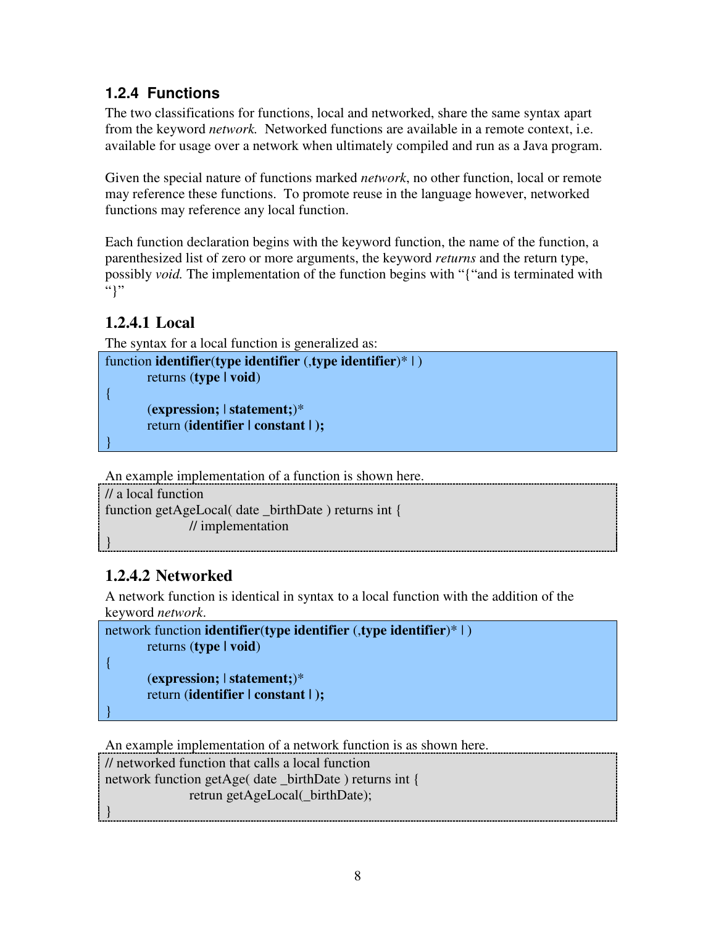### **1.2.4 Functions**

The two classifications for functions, local and networked, share the same syntax apart from the keyword *network.* Networked functions are available in a remote context, i.e. available for usage over a network when ultimately compiled and run as a Java program.

Given the special nature of functions marked *network*, no other function, local or remote may reference these functions. To promote reuse in the language however, networked functions may reference any local function.

Each function declaration begins with the keyword function, the name of the function, a parenthesized list of zero or more arguments, the keyword *returns* and the return type, possibly *void.* The implementation of the function begins with "{"and is terminated with "}"

### **1.2.4.1 Local**

The syntax for a local function is generalized as:

```
function identifier(type identifier (,type identifier)* | )
        returns (type | void)
```
{

}

(**expression;** | **statement;**)\* return (**identifier | constant | );**

An example implementation of a function is shown here.

```
// a local function
function getAgeLocal( date _birthDate ) returns int {
               // implementation
}
```
### **1.2.4.2 Networked**

A network function is identical in syntax to a local function with the addition of the keyword *network*.

```
network function identifier(type identifier (,type identifier)* | )
       returns (type | void)
```
{

}

}

(**expression;** | **statement;**)\* return (**identifier | constant | );**

An example implementation of a network function is as shown here.

// networked function that calls a local function network function getAge( date \_birthDate ) returns int {

retrun getAgeLocal(\_birthDate);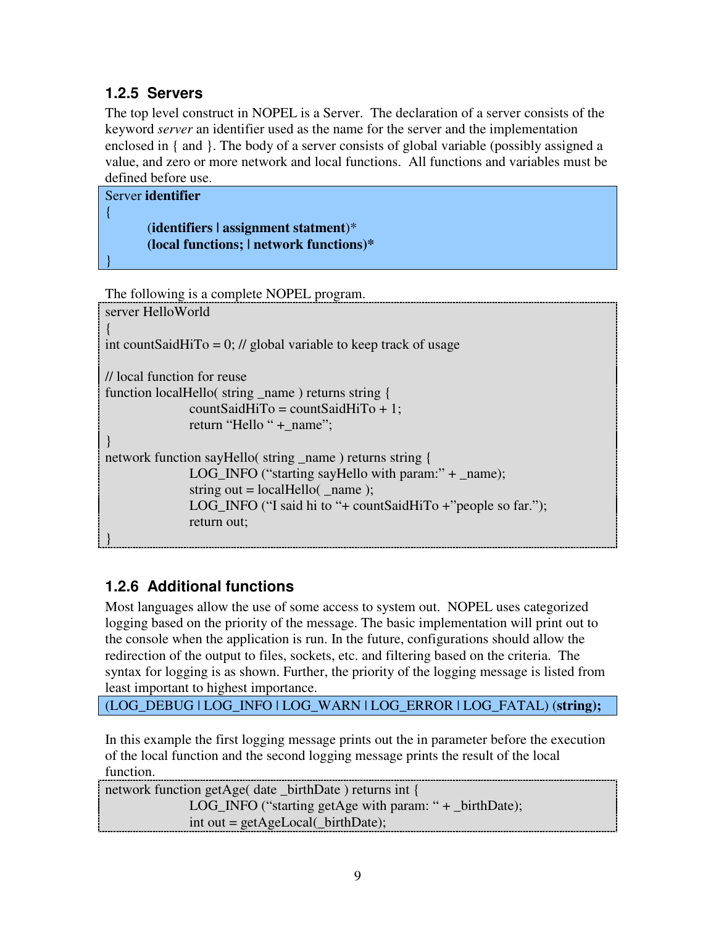### **1.2.5 Servers**

The top level construct in NOPEL is a Server. The declaration of a server consists of the keyword *server* an identifier used as the name for the server and the implementation enclosed in { and }. The body of a server consists of global variable (possibly assigned a value, and zero or more network and local functions. All functions and variables must be defined before use.

| Server identifier                          |
|--------------------------------------------|
|                                            |
| $(identifiers \mid assignment statement)*$ |
| (local functions;   network functions)*    |
|                                            |
|                                            |

```
The following is a complete NOPEL program.
server HelloWorld
\{int countSaidHiTo = 0; // global variable to keep track of usage
// local function for reuse
function localHello( string _name ) returns string {
              countSaidHiTo = countSaidHiTo + 1;
              return "Hello " + name";
}
network function sayHello( string _name ) returns string {
              LOG_INFO ("starting sayHello with param:" + _name);
              string out = localHello( name );
              LOG_INFO ("I said hi to "+ countSaidHiTo +"people so far.");
              return out;
}
```
### **1.2.6 Additional functions**

Most languages allow the use of some access to system out. NOPEL uses categorized logging based on the priority of the message. The basic implementation will print out to the console when the application is run. In the future, configurations should allow the redirection of the output to files, sockets, etc. and filtering based on the criteria. The syntax for logging is as shown. Further, the priority of the logging message is listed from least important to highest importance.

(LOG\_DEBUG | LOG\_INFO | LOG\_WARN | LOG\_ERROR | LOG\_FATAL) (**string);**

In this example the first logging message prints out the in parameter before the execution of the local function and the second logging message prints the result of the local function.

```
network function getAge( date _birthDate ) returns int {
              LOG_INFO ("starting getAge with param: " + _birthDate);
              int out = getAgeLocal(_birthDate);
```